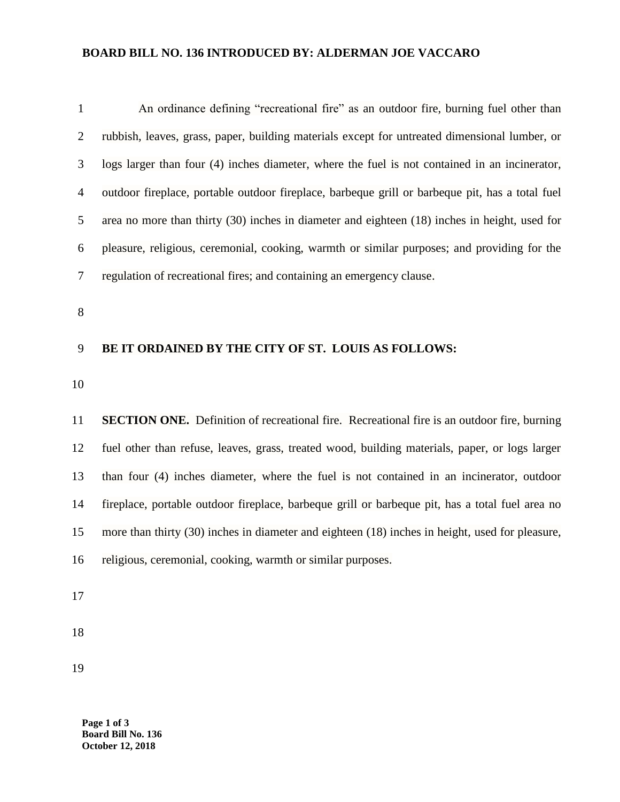## **BOARD BILL NO. 136 INTRODUCED BY: ALDERMAN JOE VACCARO**

| $\mathbf{1}$   | An ordinance defining "recreational fire" as an outdoor fire, burning fuel other than              |  |  |
|----------------|----------------------------------------------------------------------------------------------------|--|--|
| $\overline{2}$ | rubbish, leaves, grass, paper, building materials except for untreated dimensional lumber, or      |  |  |
| 3              | logs larger than four (4) inches diameter, where the fuel is not contained in an incinerator,      |  |  |
| $\overline{4}$ | outdoor fireplace, portable outdoor fireplace, barbeque grill or barbeque pit, has a total fuel    |  |  |
| 5              | area no more than thirty (30) inches in diameter and eighteen (18) inches in height, used for      |  |  |
| 6              | pleasure, religious, ceremonial, cooking, warmth or similar purposes; and providing for the        |  |  |
| $\tau$         | regulation of recreational fires; and containing an emergency clause.                              |  |  |
| 8              |                                                                                                    |  |  |
| 9              | BE IT ORDAINED BY THE CITY OF ST. LOUIS AS FOLLOWS:                                                |  |  |
|                |                                                                                                    |  |  |
| 10             |                                                                                                    |  |  |
| 11             | <b>SECTION ONE.</b> Definition of recreational fire. Recreational fire is an outdoor fire, burning |  |  |
| 12             | fuel other than refuse, leaves, grass, treated wood, building materials, paper, or logs larger     |  |  |
| 13             | than four (4) inches diameter, where the fuel is not contained in an incinerator, outdoor          |  |  |
| 14             | fireplace, portable outdoor fireplace, barbeque grill or barbeque pit, has a total fuel area no    |  |  |
| 15             | more than thirty (30) inches in diameter and eighteen (18) inches in height, used for pleasure,    |  |  |
| 16             | religious, ceremonial, cooking, warmth or similar purposes.                                        |  |  |

**Page 1 of 3 Board Bill No. 136 October 12, 2018**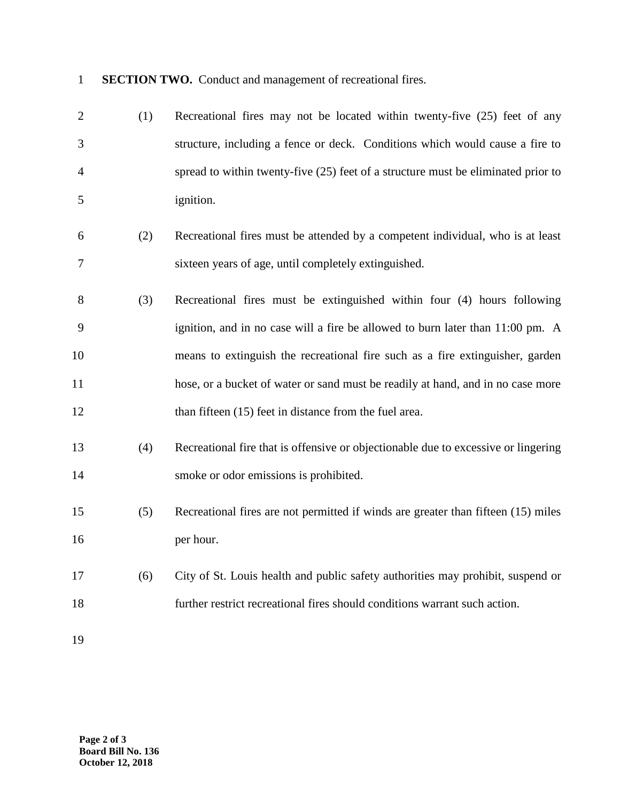**SECTION TWO.** Conduct and management of recreational fires.

| $\overline{2}$ | (1) | Recreational fires may not be located within twenty-five (25) feet of any          |
|----------------|-----|------------------------------------------------------------------------------------|
| 3              |     | structure, including a fence or deck. Conditions which would cause a fire to       |
| 4              |     | spread to within twenty-five (25) feet of a structure must be eliminated prior to  |
| 5              |     | ignition.                                                                          |
| 6              | (2) | Recreational fires must be attended by a competent individual, who is at least     |
| 7              |     | sixteen years of age, until completely extinguished.                               |
| 8              | (3) | Recreational fires must be extinguished within four (4) hours following            |
| 9              |     | ignition, and in no case will a fire be allowed to burn later than 11:00 pm. A     |
| 10             |     | means to extinguish the recreational fire such as a fire extinguisher, garden      |
| 11             |     | hose, or a bucket of water or sand must be readily at hand, and in no case more    |
| 12             |     | than fifteen (15) feet in distance from the fuel area.                             |
| 13             | (4) | Recreational fire that is offensive or objectionable due to excessive or lingering |
| 14             |     | smoke or odor emissions is prohibited.                                             |
| 15             | (5) | Recreational fires are not permitted if winds are greater than fifteen (15) miles  |
| 16             |     | per hour.                                                                          |
| 17             | (6) | City of St. Louis health and public safety authorities may prohibit, suspend or    |
| 18             |     | further restrict recreational fires should conditions warrant such action.         |
| 19             |     |                                                                                    |